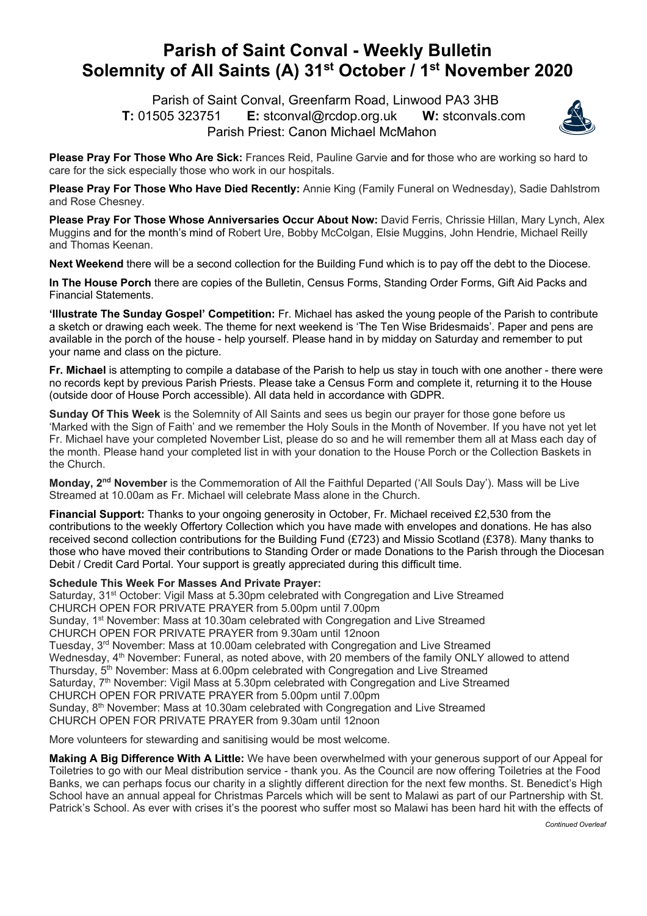## **Parish of Saint Conval - Weekly Bulletin Solemnity of All Saints (A) 31st October / 1st November 2020**

 Parish of Saint Conval, Greenfarm Road, Linwood PA3 3HB **T:** 01505 323751 **E:** stconval@rcdop.org.uk **W:** stconvals.com Parish Priest: Canon Michael McMahon



**Please Pray For Those Who Are Sick:** Frances Reid, Pauline Garvie and for those who are working so hard to care for the sick especially those who work in our hospitals.

**Please Pray For Those Who Have Died Recently:** Annie King (Family Funeral on Wednesday), Sadie Dahlstrom and Rose Chesney.

**Please Pray For Those Whose Anniversaries Occur About Now:** David Ferris, Chrissie Hillan, Mary Lynch, Alex Muggins and for the month's mind of Robert Ure, Bobby McColgan, Elsie Muggins, John Hendrie, Michael Reilly and Thomas Keenan.

**Next Weekend** there will be a second collection for the Building Fund which is to pay off the debt to the Diocese.

**In The House Porch** there are copies of the Bulletin, Census Forms, Standing Order Forms, Gift Aid Packs and Financial Statements.

**'Illustrate The Sunday Gospel' Competition:** Fr. Michael has asked the young people of the Parish to contribute a sketch or drawing each week. The theme for next weekend is 'The Ten Wise Bridesmaids'. Paper and pens are available in the porch of the house - help yourself. Please hand in by midday on Saturday and remember to put your name and class on the picture.

**Fr. Michael** is attempting to compile a database of the Parish to help us stay in touch with one another - there were no records kept by previous Parish Priests. Please take a Census Form and complete it, returning it to the House (outside door of House Porch accessible). All data held in accordance with GDPR.

**Sunday Of This Week** is the Solemnity of All Saints and sees us begin our prayer for those gone before us 'Marked with the Sign of Faith' and we remember the Holy Souls in the Month of November. If you have not yet let Fr. Michael have your completed November List, please do so and he will remember them all at Mass each day of the month. Please hand your completed list in with your donation to the House Porch or the Collection Baskets in the Church.

**Monday, 2nd November** is the Commemoration of All the Faithful Departed ('All Souls Day'). Mass will be Live Streamed at 10.00am as Fr. Michael will celebrate Mass alone in the Church.

**Financial Support:** Thanks to your ongoing generosity in October, Fr. Michael received £2,530 from the contributions to the weekly Offertory Collection which you have made with envelopes and donations. He has also received second collection contributions for the Building Fund (£723) and Missio Scotland (£378). Many thanks to those who have moved their contributions to Standing Order or made Donations to the Parish through the Diocesan Debit / Credit Card Portal. Your support is greatly appreciated during this difficult time.

## **Schedule This Week For Masses And Private Prayer:**

Saturday, 31<sup>st</sup> October: Vigil Mass at 5.30pm celebrated with Congregation and Live Streamed CHURCH OPEN FOR PRIVATE PRAYER from 5.00pm until 7.00pm Sunday, 1<sup>st</sup> November: Mass at 10.30am celebrated with Congregation and Live Streamed CHURCH OPEN FOR PRIVATE PRAYER from 9.30am until 12noon Tuesday, 3<sup>rd</sup> November: Mass at 10.00am celebrated with Congregation and Live Streamed Wednesday, 4<sup>th</sup> November: Funeral, as noted above, with 20 members of the family ONLY allowed to attend Thursday, 5<sup>th</sup> November: Mass at 6.00pm celebrated with Congregation and Live Streamed Saturday, 7<sup>th</sup> November: Vigil Mass at 5.30pm celebrated with Congregation and Live Streamed CHURCH OPEN FOR PRIVATE PRAYER from 5.00pm until 7.00pm Sunday. 8<sup>th</sup> November: Mass at 10.30am celebrated with Congregation and Live Streamed CHURCH OPEN FOR PRIVATE PRAYER from 9.30am until 12noon

More volunteers for stewarding and sanitising would be most welcome.

**Making A Big Difference With A Little:** We have been overwhelmed with your generous support of our Appeal for Toiletries to go with our Meal distribution service - thank you. As the Council are now offering Toiletries at the Food Banks, we can perhaps focus our charity in a slightly different direction for the next few months. St. Benedict's High School have an annual appeal for Christmas Parcels which will be sent to Malawi as part of our Partnership with St. Patrick's School. As ever with crises it's the poorest who suffer most so Malawi has been hard hit with the effects of